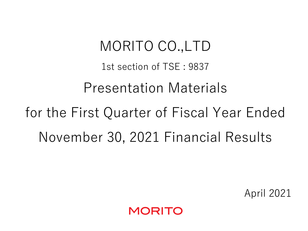MORITO CO.,LTD 1st section of TSE : 9837 Presentation Materials for the First Quarter of Fiscal Year Ended November 30, 2021 Financial Results

April 2021

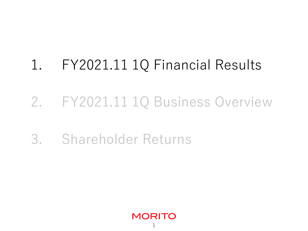# 1. FY2021.11 1Q Financial Results

## 2. FY2021.11 1Q Business Overview

## 3. Shareholder Returns

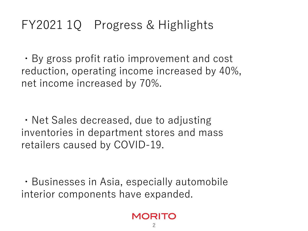## FY2021 1Q Progress & Highlights

・By gross profit ratio improvement and cost reduction, operating income increased by 40%, net income increased by 70%.

・Net Sales decreased, due to adjusting inventories in department stores and mass retailers caused by COVID-19.

・Businesses in Asia, especially automobile interior components have expanded.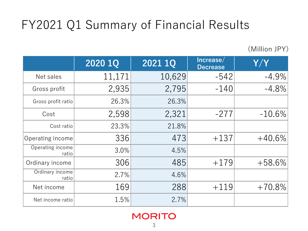## FY2021 Q1 Summary of Financial Results

(Million JPY)

|                           | 2020 1Q | 2021 1Q | Increase/<br><b>Decrease</b> | Y/Y       |
|---------------------------|---------|---------|------------------------------|-----------|
| Net sales                 | 11,171  | 10,629  | $-542$                       | $-4.9\%$  |
| Gross profit              | 2,935   | 2,795   | $-140$                       | $-4.8\%$  |
| Gross profit ratio        | 26.3%   | 26.3%   |                              |           |
| Cost                      | 2,598   | 2,321   | $-277$                       | $-10.6\%$ |
| Cost ratio                | 23.3%   | 21.8%   |                              |           |
| Operating income          | 336     | 473     | $+137$                       | $+40.6\%$ |
| Operating income<br>ratio | 3.0%    | 4.5%    |                              |           |
| Ordinary income           | 306     | 485     | $+179$                       | $+58.6\%$ |
| Ordinary income<br>ratio  | 2.7%    | 4.6%    |                              |           |
| Net income                | 169     | 288     | $+119$                       | $+70.8%$  |
| Net income ratio          | 1.5%    | 2.7%    |                              |           |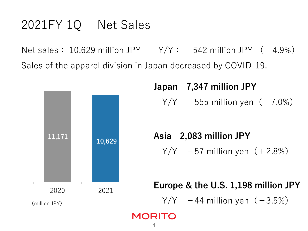## 2021FY 1Q Net Sales

Net sales:  $10,629$  million JPY  $Y/Y: -542$  million JPY (-4.9%) Sales of the apparel division in Japan decreased by COVID-19.



## Japan 7,347 million JPY  $Y/Y$  −555 million yen (−7.0%)

Asia 2,083 million JPY  $Y/Y$  +57 million yen  $(+2.8%)$ 

#### Europe & the U.S. 1,198 million JPY

 $Y/Y$  −44 million yen (−3.5%)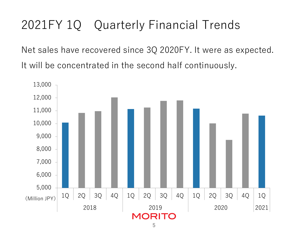## 2021FY 1Q Quarterly Financial Trends

Net sales have recovered since 3Q 2020FY. It were as expected. It will be concentrated in the second half continuously.

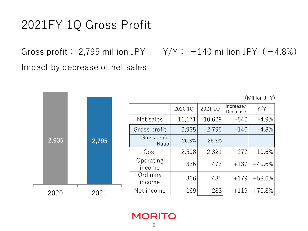### 2021FY 1Q Gross Profit

Impact by decrease of net sales

2,935

2020

Gross profit: 2,795 million JPY Y/Y: −140 million JPY(−4.8%)

(Million JPY)

|  |        |                       | 2020 1Q      | 2021 1Q | Increase/<br>Decrease | Y/Y      |          |
|--|--------|-----------------------|--------------|---------|-----------------------|----------|----------|
|  |        |                       | Net sales    | 11,171  | 10,629                | $-542$   | $-4.9%$  |
|  |        |                       | Gross profit | 2,935   | 2,795                 | $-140$   | $-4.8%$  |
|  | 2,795  | Gross profit<br>Ratio | 26.3%        | 26.3%   |                       |          |          |
|  |        |                       | Cost         | 2,598   | 2,321                 | $-277$   | $-10.6%$ |
|  | income | Operating             | 336          | 473     | $+137$                | $+40.6%$ |          |
|  |        | Ordinary<br>income    | 306          | 485     | $+179$                | $+58.6%$ |          |
|  | 2021   |                       | Net income   | 169     | 288                   | $+119$   | $+70.8%$ |
|  |        |                       |              |         |                       |          |          |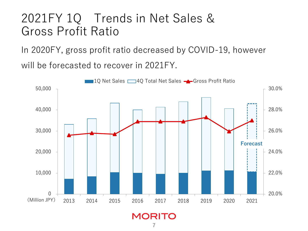### 2021FY 1Q Trends in Net Sales & Gross Profit Ratio

In 2020FY, gross profit ratio decreased by COVID-19, however

will be forecasted to recover in 2021FY.

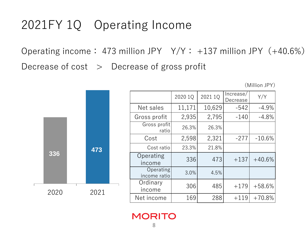### 2021FY 1Q Operating Income

Operating income: 473 million JPY Y/Y: +137 million JPY(+40.6%) Decrease of  $cost$  > Decrease of gross profit

(Million JPY)



|                           | 2020 1Q | 2021 1Q | Increase/<br>Decrease | Y/Y      |
|---------------------------|---------|---------|-----------------------|----------|
| Net sales                 | 11,171  | 10,629  | $-542$                | $-4.9%$  |
| Gross profit              | 2,935   | 2,795   | $-140$                | $-4.8%$  |
| Gross profit<br>ratio     | 26.3%   | 26.3%   |                       |          |
| Cost                      | 2,598   | 2,321   | $-277$                | $-10.6%$ |
| Cost ratio                | 23.3%   | 21.8%   |                       |          |
| Operating<br>income       | 336     | 473     | $+137$                | $+40.6%$ |
| Operating<br>income ratio | 3.0%    | 4.5%    |                       |          |
| Ordinary<br>income        | 306     | 485     | $+179$                | $+58.6%$ |
| Net income                | 169     | 288     | $+119$                | $+70.8%$ |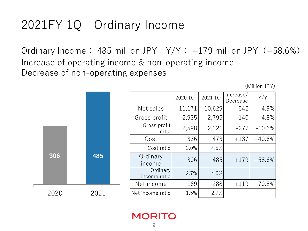## 2021FY 1Q Ordinary Income

Ordinary Income: 485 million JPY  $Y/Y: +179$  million JPY  $(+58.6%)$ Increase of operating income & non-operating income Decrease of non-operating expenses

(Million JPY)



|                          | 2020 1Q | 2021 1Q | Increase/<br>Decrease | Y/Y      |
|--------------------------|---------|---------|-----------------------|----------|
| Net sales                | 11,171  | 10,629  | $-542$                | $-4.9%$  |
| Gross profit             | 2,935   | 2,795   | $-140$                | $-4.8%$  |
| Gross profit<br>ratio    | 2,598   | 2,321   | $-277$                | $-10.6%$ |
| Cost                     | 336     | 473     | $+137$                | $+40.6%$ |
| Cost ratio               | 3.0%    | 4.5%    |                       |          |
| Ordinary<br>income       | 306     | 485     | $+179$                | $+58.6%$ |
| Ordinary<br>income ratio | 2.7%    | 4.6%    |                       |          |
| Net income               | 169     | 288     | $+119$                | $+70.8%$ |
| Net income ratio         | 1.5%    | 2.7%    |                       |          |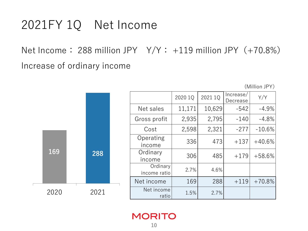## 2021FY 1Q Net Income

Net Income: 288 million JPY  $Y/Y: +119$  million JPY  $(+70.8%)$ Increase of ordinary income

(Million JPY)



|                          | 2020 1Q | 2021 1Q | Increase/<br>Decrease | Y/Y      |
|--------------------------|---------|---------|-----------------------|----------|
| Net sales                | 11,171  | 10,629  | $-542$                | $-4.9%$  |
| Gross profit             | 2,935   | 2,795   | $-140$                | $-4.8%$  |
| Cost                     | 2,598   | 2,321   | $-277$                | $-10.6%$ |
| Operating<br>income      | 336     | 473     | $+137$                | $+40.6%$ |
| Ordinary<br>income       | 306     | 485     | $+179$                | $+58.6%$ |
| Ordinary<br>income ratio | 2.7%    | 4.6%    |                       |          |
| Net income               | 169     | 288     | $+119$                | $+70.8%$ |
| Net income<br>ratio      | 1.5%    | 2.7%    |                       |          |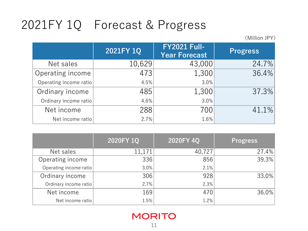## 2021FY 1Q Forecast & Progress

(Million JPY)

|                        | 2021FY 1Q | <b>FY2021 Full-</b><br><b>Year Forecast</b> | <b>Progress</b> |
|------------------------|-----------|---------------------------------------------|-----------------|
| Net sales              | 10,629    | 43,000                                      | 24.7%           |
| Operating income       | 473       | 1,300                                       | 36.4%           |
| Operating income ratio | 4.5%      | 3.0%                                        |                 |
| Ordinary income        | 485       | 1,300                                       | 37.3%           |
| Ordinary income ratio  | 4.6%      | 3.0%                                        |                 |
| Net income             | 288       | 700                                         | 41.1%           |
| Net income ratio       | 2.7%      | 1.6%                                        |                 |

|                        | 2020FY 1Q | 2020FY 4Q | <b>Progress</b> |
|------------------------|-----------|-----------|-----------------|
| Net sales              | 11,171    | 40,727    | 27.4%           |
| Operating income       | 336       | 856       | 39.3%           |
| Operating income ratio | 3.0%      | 2.1%      |                 |
| Ordinary income        | 306       | 928       | 33.0%           |
| Ordinary income ratio  | 2.7%      | 2.3%      |                 |
| Net income             | 169       | 470       | 36.0%           |
| Net income ratio       | 1.5%      | 1.2%      |                 |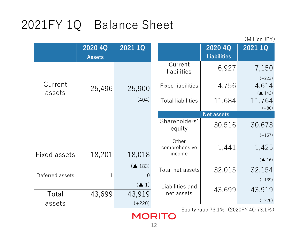## 2021FY 1Q Balance Sheet

(Million JPY)

|                     | 2020 4Q<br><b>Assets</b> | 2021 1Q                   |                               | 2020 4Q<br><b>Liabilities</b> | 2021 1Q                                        |
|---------------------|--------------------------|---------------------------|-------------------------------|-------------------------------|------------------------------------------------|
|                     |                          |                           | Current<br>liabilities        | 6,927                         | 7,150                                          |
| Current<br>assets   | 25,496                   | 25,900                    | <b>Fixed liabilities</b>      | 4,756                         | $(+223)$<br>4,614<br>$($ $\blacktriangle$ 142) |
|                     |                          | (404)                     | <b>Total liabilities</b>      | 11,684                        | 11,764<br>$(+80)$                              |
|                     |                          |                           |                               | <b>Net assets</b>             |                                                |
|                     |                          |                           | Shareholders'<br>equity       | 30,516                        | 30,673                                         |
|                     |                          |                           | Other<br>comprehensive        | 1,441                         | $(+157)$<br>1,425                              |
| <b>Fixed assets</b> | 18,201                   | 18,018                    | income                        |                               | $($ $\blacktriangle$ 16)                       |
| Deferred assets     | $1\,$                    | $($ $\blacktriangle$ 183) | Total net assets              | 32,015                        | 32,154                                         |
|                     |                          | $($ $\blacktriangle$ 1)   |                               |                               | $(+139)$                                       |
| Total               | 43,699                   | 43,919                    | Liabilities and<br>net assets | 43,699                        | 43,919                                         |
| assets              |                          | $(+220)$                  |                               |                               | $(+220)$                                       |

Equity ratio 73.1%(2020FY 4Q 73.1%)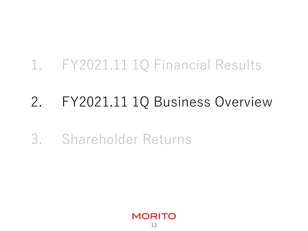## 1. FY2021.11 1Q Financial Results

## 2. FY2021.11 1Q Business Overview

## 3. Shareholder Returns

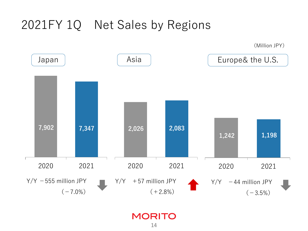### 2021FY 1Q Net Sales by Regions

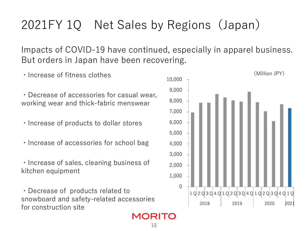## 2021FY 1Q Net Sales by Regions(Japan)

Impacts of COVID-19 have continued, especially in apparel business. But orders in Japan have been recovering.

- ・Increase of fitness clothes
- ・Decrease of accessories for casual wear, working wear and thick-fabric menswear
- ・Increase of products to dollar stores
- ・Increase of accessories for school bag
- ・Increase of sales, cleaning business of kitchen equipment

・Decrease of products related to snowboard and safety-related accessories for construction site



15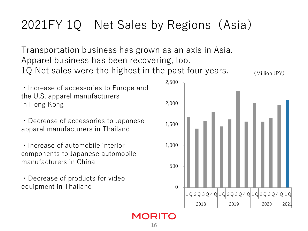## 2021FY 1Q Net Sales by Regions (Asia)

Transportation business has grown as an axis in Asia. Apparel business has been recovering, too. 1Q Net sales were the highest in the past four years.  $\mathcal{M}_{\text{Million JPY}}$ 

・Increase of accessories to Europe and the U.S. apparel manufacturers in Hong Kong

・Decrease of accessories to Japanese apparel manufacturers in Thailand

・Increase of automobile interior components to Japanese automobile manufacturers in China

・Decrease of products for video equipment in Thailand



16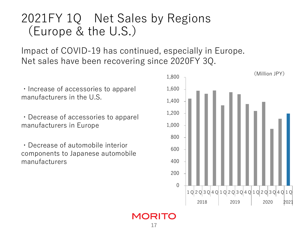### 2021FY 1Q Net Sales by Regions (Europe & the U.S.)

Impact of COVID-19 has continued, especially in Europe. Net sales have been recovering since 2020FY 3Q.

・Increase of accessories to apparel manufacturers in the U.S.

・Decrease of accessories to apparel manufacturers in Europe

・Decrease of automobile interior components to Japanese automobile manufacturers

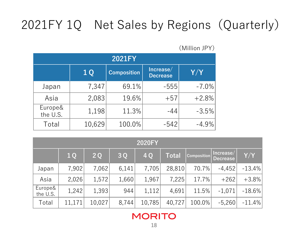## 2021FY 1Q Net Sales by Regions(Quarterly)

(Million JPY)

| <b>2021FY</b>       |                |                    |                              |         |  |  |  |
|---------------------|----------------|--------------------|------------------------------|---------|--|--|--|
|                     | 1 <sub>Q</sub> | <b>Composition</b> | Increase/<br><b>Decrease</b> | Y/Y     |  |  |  |
| Japan               | 7,347          | 69.1%              | $-555$                       | $-7.0%$ |  |  |  |
| Asia                | 2,083          | 19.6%              | $+57$                        | $+2.8%$ |  |  |  |
| Europe&<br>the U.S. | 1,198          | 11.3%              | $-44$                        | $-3.5%$ |  |  |  |
| Total               | 10,629         | 100.0%             | $-542$                       | $-4.9%$ |  |  |  |

|                     | <b>2020FY</b>  |        |       |        |              |                    |                              |           |  |  |
|---------------------|----------------|--------|-------|--------|--------------|--------------------|------------------------------|-----------|--|--|
|                     | 1 <sub>Q</sub> | 2Q     | 3Q    | 4 Q    | <b>Total</b> | <b>Composition</b> | Increase/<br><b>Decrease</b> | Y/Y       |  |  |
| Japan               | 7,902          | 7,062  | 6,141 | 7,705  | 28,810       | 70.7%              | $-4,452$                     | $-13.4\%$ |  |  |
| Asia                | 2,026          | 1,572  | 1,660 | 1,967  | 7,225        | 17.7%              | $+262$                       | $+3.8%$   |  |  |
| Europe&<br>the U.S. | 1,242          | 1,393  | 944   | 1,112  | 4,691        | 11.5%              | $-1,071$                     | $-18.6\%$ |  |  |
| Total               | 11,171         | 10,027 | 8,744 | 10,785 | 40,727       | 100.0%             | $-5,260$                     | $-11.4\%$ |  |  |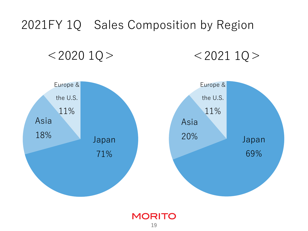## 2021FY 1Q Sales Composition by Region

 $<$  2020 1Q >  $<$  2021 1Q >

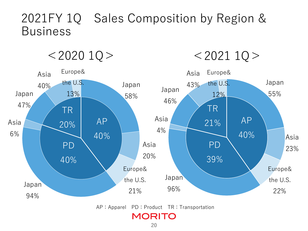### 2021FY 1Q Sales Composition by Region & Business



20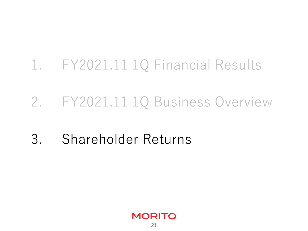## 1. FY2021.11 1Q Financial Results

## 2. FY2021.11 1Q Business Overview

## 3. Shareholder Returns

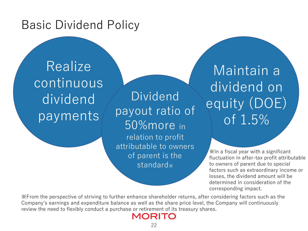### Basic Dividend Policy

**Realize** continuous dividend payments

Dividend payout ratio of 50%more in relation to profit attributable to owners of parent is the standard※

Maintain a dividend on equity (DOE) of 1.5%

※In a fiscal year with a significant fluctuation in after-tax profit attributable to owners of parent due to special factors such as extraordinary income or losses, the dividend amount will be determined in consideration of the corresponding impact.

※From the perspective of striving to further enhance shareholder returns, after considering factors such as the Company's earnings and expenditure balance as well as the share price level, the Company will continuously review the need to flexibly conduct a purchase or retirement of its treasury shares.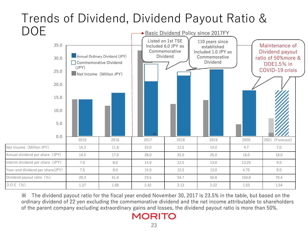#### Trends of Dividend, Dividend Payout Ratio & DOE Basic Dividend Policy since 2017FY



※ The dividend payout ratio for the fiscal year ended November 30, 2017 is 23.5% in the table, but based on the ordinary dividend of 22 yen excluding the commemorative dividend and the net income attributable to shareholders of the parent company excluding extraordinary gains and losses, the dividend payout ratio is more than 50%.